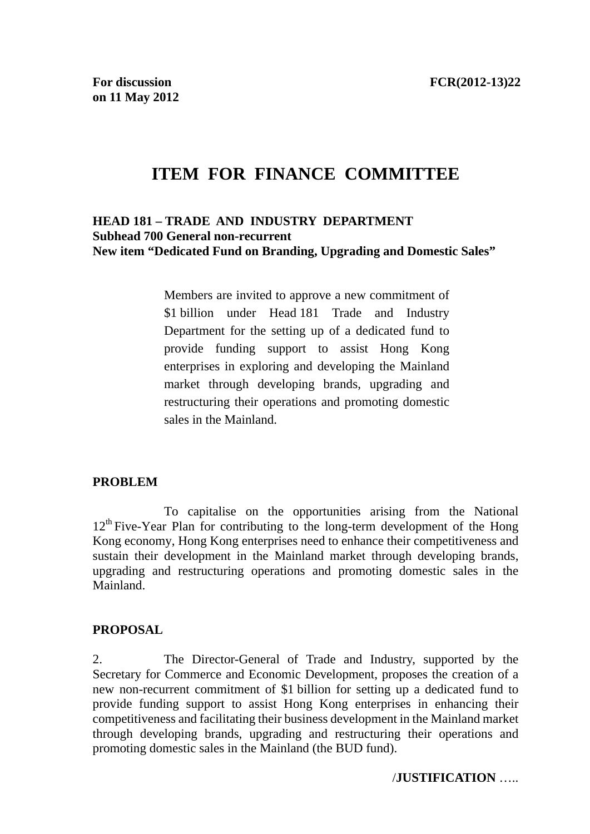# **ITEM FOR FINANCE COMMITTEE**

#### **HEAD 181 – TRADE AND INDUSTRY DEPARTMENT Subhead 700 General non-recurrent New item "Dedicated Fund on Branding, Upgrading and Domestic Sales"**

Members are invited to approve a new commitment of \$1 billion under Head 181 Trade and Industry Department for the setting up of a dedicated fund to provide funding support to assist Hong Kong enterprises in exploring and developing the Mainland market through developing brands, upgrading and restructuring their operations and promoting domestic sales in the Mainland.

#### **PROBLEM**

11. To capitalise on the opportunities arising from the National  $12<sup>th</sup>$  Five-Year Plan for contributing to the long-term development of the Hong Kong economy, Hong Kong enterprises need to enhance their competitiveness and sustain their development in the Mainland market through developing brands, upgrading and restructuring operations and promoting domestic sales in the Mainland.

#### **PROPOSAL**

2. The Director-General of Trade and Industry, supported by the Secretary for Commerce and Economic Development, proposes the creation of a new non-recurrent commitment of \$1 billion for setting up a dedicated fund to provide funding support to assist Hong Kong enterprises in enhancing their competitiveness and facilitating their business development in the Mainland market through developing brands, upgrading and restructuring their operations and promoting domestic sales in the Mainland (the BUD fund).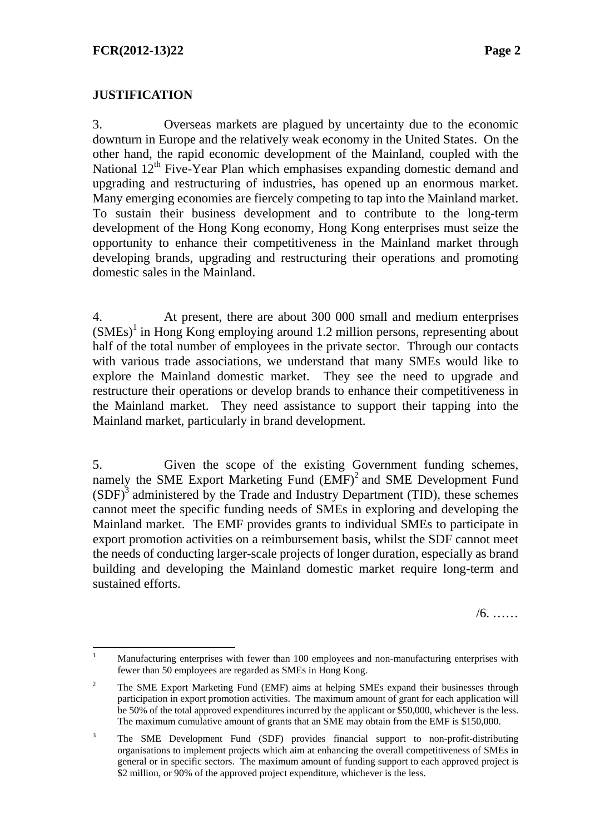### **JUSTIFICATION**

3. Overseas markets are plagued by uncertainty due to the economic downturn in Europe and the relatively weak economy in the United States. On the other hand, the rapid economic development of the Mainland, coupled with the National  $12<sup>th</sup>$  Five-Year Plan which emphasises expanding domestic demand and upgrading and restructuring of industries, has opened up an enormous market. Many emerging economies are fiercely competing to tap into the Mainland market. To sustain their business development and to contribute to the long-term development of the Hong Kong economy, Hong Kong enterprises must seize the opportunity to enhance their competitiveness in the Mainland market through developing brands, upgrading and restructuring their operations and promoting domestic sales in the Mainland.

4. At present, there are about 300 000 small and medium enterprises  $(SMEs<sup>1</sup>$  in Hong Kong employing around 1.2 million persons, representing about half of the total number of employees in the private sector. Through our contacts with various trade associations, we understand that many SMEs would like to explore the Mainland domestic market. They see the need to upgrade and restructure their operations or develop brands to enhance their competitiveness in the Mainland market. They need assistance to support their tapping into the Mainland market, particularly in brand development.

5. Given the scope of the existing Government funding schemes, namely the SME Export Marketing Fund (EMF)<sup>2</sup> and SME Development Fund  $(SDF)<sup>3</sup>$  administered by the Trade and Industry Department (TID), these schemes cannot meet the specific funding needs of SMEs in exploring and developing the Mainland market. The EMF provides grants to individual SMEs to participate in export promotion activities on a reimbursement basis, whilst the SDF cannot meet the needs of conducting larger-scale projects of longer duration, especially as brand building and developing the Mainland domestic market require long-term and sustained efforts.

/6. ……

 $\frac{1}{1}$  Manufacturing enterprises with fewer than 100 employees and non-manufacturing enterprises with fewer than 50 employees are regarded as SMEs in Hong Kong.

<sup>2</sup> The SME Export Marketing Fund (EMF) aims at helping SMEs expand their businesses through participation in export promotion activities. The maximum amount of grant for each application will be 50% of the total approved expenditures incurred by the applicant or \$50,000, whichever is the less. The maximum cumulative amount of grants that an SME may obtain from the EMF is \$150,000.

<sup>3</sup> The SME Development Fund (SDF) provides financial support to non-profit-distributing organisations to implement projects which aim at enhancing the overall competitiveness of SMEs in general or in specific sectors. The maximum amount of funding support to each approved project is \$2 million, or 90% of the approved project expenditure, whichever is the less.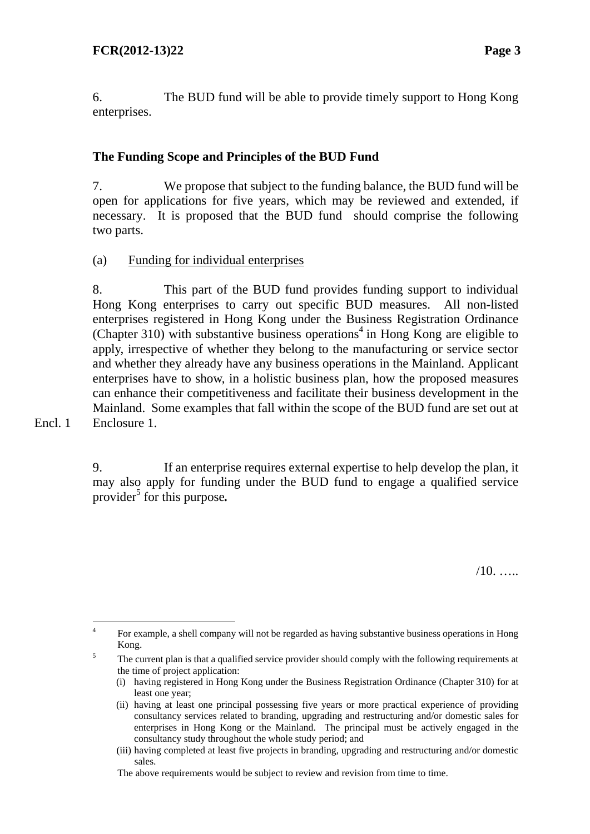Encl. 1

6. The BUD fund will be able to provide timely support to Hong Kong enterprises.

# **The Funding Scope and Principles of the BUD Fund**

7. We propose that subject to the funding balance, the BUD fund will be open for applications for five years, which may be reviewed and extended, if necessary. It is proposed that the BUD fund should comprise the following two parts.

#### (a) Funding for individual enterprises

8. This part of the BUD fund provides funding support to individual Hong Kong enterprises to carry out specific BUD measures. All non-listed enterprises registered in Hong Kong under the Business Registration Ordinance  $(Chapter 310)$  with substantive business operations<sup>4</sup> in Hong Kong are eligible to apply, irrespective of whether they belong to the manufacturing or service sector and whether they already have any business operations in the Mainland. Applicant enterprises have to show, in a holistic business plan, how the proposed measures can enhance their competitiveness and facilitate their business development in the Mainland. Some examples that fall within the scope of the BUD fund are set out at Enclosure 1.

9. If an enterprise requires external expertise to help develop the plan, it may also apply for funding under the BUD fund to engage a qualified service provider<sup>5</sup> for this purpose.

 $/10.$ 

 $\frac{1}{4}$  For example, a shell company will not be regarded as having substantive business operations in Hong  $Kong.$ <sup>5</sup> The cy

The current plan is that a qualified service provider should comply with the following requirements at the time of project application:

<sup>(</sup>i) having registered in Hong Kong under the Business Registration Ordinance (Chapter 310) for at least one year;

<sup>(</sup>ii) having at least one principal possessing five years or more practical experience of providing consultancy services related to branding, upgrading and restructuring and/or domestic sales for enterprises in Hong Kong or the Mainland. The principal must be actively engaged in the consultancy study throughout the whole study period; and

<sup>(</sup>iii) having completed at least five projects in branding, upgrading and restructuring and/or domestic sales.

The above requirements would be subject to review and revision from time to time.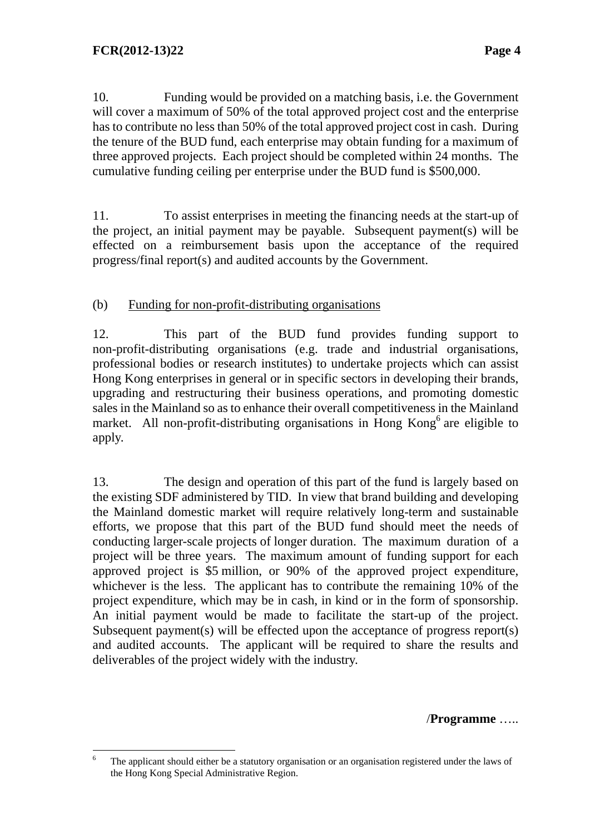10. Funding would be provided on a matching basis, i.e. the Government will cover a maximum of 50% of the total approved project cost and the enterprise has to contribute no less than 50% of the total approved project cost in cash. During the tenure of the BUD fund, each enterprise may obtain funding for a maximum of three approved projects. Each project should be completed within 24 months. The cumulative funding ceiling per enterprise under the BUD fund is \$500,000.

 11. To assist enterprises in meeting the financing needs at the start-up of the project, an initial payment may be payable. Subsequent payment(s) will be effected on a reimbursement basis upon the acceptance of the required progress/final report(s) and audited accounts by the Government.

#### (b) Funding for non-profit-distributing organisations

12. This part of the BUD fund provides funding support to non-profit-distributing organisations (e.g. trade and industrial organisations, professional bodies or research institutes) to undertake projects which can assist Hong Kong enterprises in general or in specific sectors in developing their brands, upgrading and restructuring their business operations, and promoting domestic sales in the Mainland so as to enhance their overall competitiveness in the Mainland market. All non-profit-distributing organisations in Hong Kong<sup>6</sup> are eligible to apply.

13. The design and operation of this part of the fund is largely based on the existing SDF administered by TID. In view that brand building and developing the Mainland domestic market will require relatively long-term and sustainable efforts, we propose that this part of the BUD fund should meet the needs of conducting larger-scale projects of longer duration. The maximum duration of a project will be three years. The maximum amount of funding support for each approved project is \$5 million, or 90% of the approved project expenditure, whichever is the less. The applicant has to contribute the remaining 10% of the project expenditure, which may be in cash, in kind or in the form of sponsorship. An initial payment would be made to facilitate the start-up of the project. Subsequent payment(s) will be effected upon the acceptance of progress report(s) and audited accounts. The applicant will be required to share the results and deliverables of the project widely with the industry.

/**Programme** …..

 $\frac{1}{6}$  The applicant should either be a statutory organisation or an organisation registered under the laws of the Hong Kong Special Administrative Region.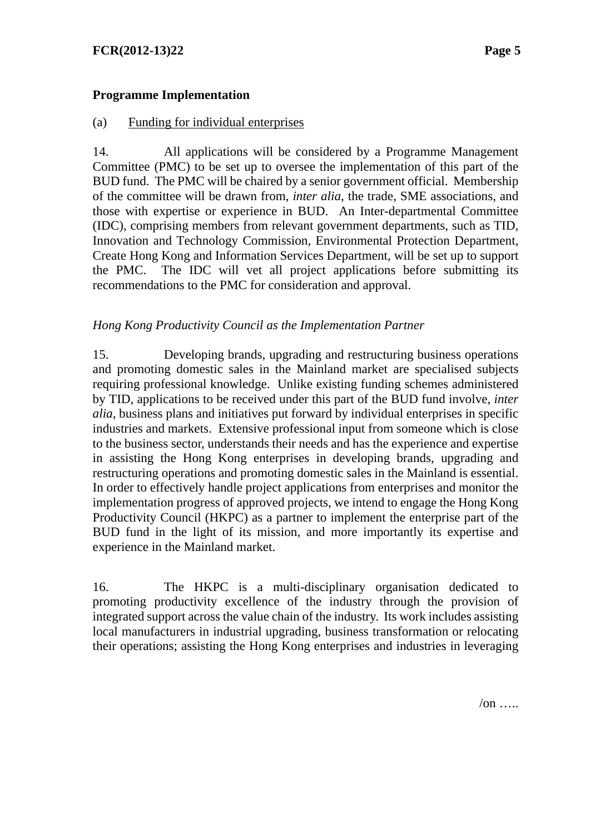#### **Programme Implementation**

#### (a) Funding for individual enterprises

14. All applications will be considered by a Programme Management Committee (PMC) to be set up to oversee the implementation of this part of the BUD fund. The PMC will be chaired by a senior government official. Membership of the committee will be drawn from, *inter alia*, the trade, SME associations, and those with expertise or experience in BUD. An Inter-departmental Committee (IDC), comprising members from relevant government departments, such as TID, Innovation and Technology Commission, Environmental Protection Department, Create Hong Kong and Information Services Department, will be set up to support the PMC. The IDC will vet all project applications before submitting its recommendations to the PMC for consideration and approval.

#### *Hong Kong Productivity Council as the Implementation Partner*

15. Developing brands, upgrading and restructuring business operations and promoting domestic sales in the Mainland market are specialised subjects requiring professional knowledge. Unlike existing funding schemes administered by TID, applications to be received under this part of the BUD fund involve, *inter alia*, business plans and initiatives put forward by individual enterprises in specific industries and markets. Extensive professional input from someone which is close to the business sector, understands their needs and has the experience and expertise in assisting the Hong Kong enterprises in developing brands, upgrading and restructuring operations and promoting domestic sales in the Mainland is essential. In order to effectively handle project applications from enterprises and monitor the implementation progress of approved projects, we intend to engage the Hong Kong Productivity Council (HKPC) as a partner to implement the enterprise part of the BUD fund in the light of its mission, and more importantly its expertise and experience in the Mainland market.

16. The HKPC is a multi-disciplinary organisation dedicated to promoting productivity excellence of the industry through the provision of integrated support across the value chain of the industry. Its work includes assisting local manufacturers in industrial upgrading, business transformation or relocating their operations; assisting the Hong Kong enterprises and industries in leveraging

 $\sqrt{on}$  …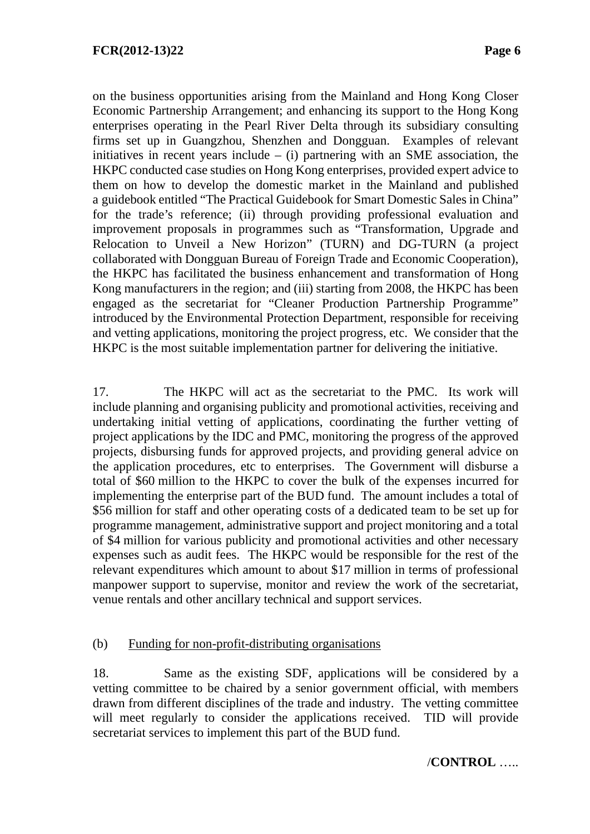on the business opportunities arising from the Mainland and Hong Kong Closer Economic Partnership Arrangement; and enhancing its support to the Hong Kong enterprises operating in the Pearl River Delta through its subsidiary consulting firms set up in Guangzhou, Shenzhen and Dongguan. Examples of relevant initiatives in recent years include  $-$  (i) partnering with an SME association, the HKPC conducted case studies on Hong Kong enterprises, provided expert advice to them on how to develop the domestic market in the Mainland and published a guidebook entitled "The Practical Guidebook for Smart Domestic Sales in China" for the trade's reference; (ii) through providing professional evaluation and improvement proposals in programmes such as "Transformation, Upgrade and Relocation to Unveil a New Horizon" (TURN) and DG-TURN (a project collaborated with Dongguan Bureau of Foreign Trade and Economic Cooperation), the HKPC has facilitated the business enhancement and transformation of Hong Kong manufacturers in the region; and (iii) starting from 2008, the HKPC has been engaged as the secretariat for "Cleaner Production Partnership Programme" introduced by the Environmental Protection Department, responsible for receiving and vetting applications, monitoring the project progress, etc. We consider that the HKPC is the most suitable implementation partner for delivering the initiative.

17. The HKPC will act as the secretariat to the PMC. Its work will include planning and organising publicity and promotional activities, receiving and undertaking initial vetting of applications, coordinating the further vetting of project applications by the IDC and PMC, monitoring the progress of the approved projects, disbursing funds for approved projects, and providing general advice on the application procedures, etc to enterprises. The Government will disburse a total of \$60 million to the HKPC to cover the bulk of the expenses incurred for implementing the enterprise part of the BUD fund. The amount includes a total of \$56 million for staff and other operating costs of a dedicated team to be set up for programme management, administrative support and project monitoring and a total of \$4 million for various publicity and promotional activities and other necessary expenses such as audit fees. The HKPC would be responsible for the rest of the relevant expenditures which amount to about \$17 million in terms of professional manpower support to supervise, monitor and review the work of the secretariat, venue rentals and other ancillary technical and support services.

#### (b) Funding for non-profit-distributing organisations

18. Same as the existing SDF, applications will be considered by a vetting committee to be chaired by a senior government official, with members drawn from different disciplines of the trade and industry. The vetting committee will meet regularly to consider the applications received. TID will provide secretariat services to implement this part of the BUD fund.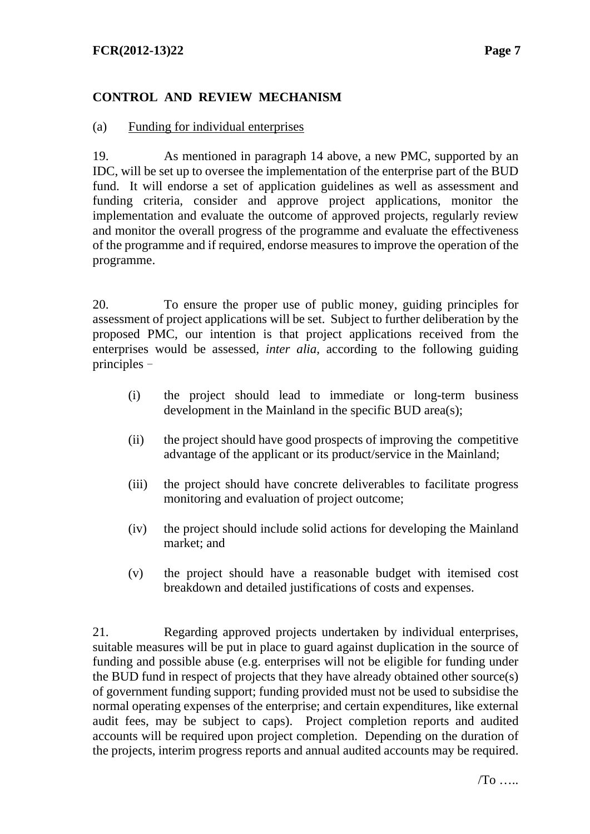#### **FCR(2012-13)22 Page 7**

# **CONTROL AND REVIEW MECHANISM**

#### (a) Funding for individual enterprises

19. As mentioned in paragraph 14 above, a new PMC, supported by an IDC, will be set up to oversee the implementation of the enterprise part of the BUD fund. It will endorse a set of application guidelines as well as assessment and funding criteria, consider and approve project applications, monitor the implementation and evaluate the outcome of approved projects, regularly review and monitor the overall progress of the programme and evaluate the effectiveness of the programme and if required, endorse measures to improve the operation of the programme.

20. To ensure the proper use of public money, guiding principles for assessment of project applications will be set. Subject to further deliberation by the proposed PMC, our intention is that project applications received from the enterprises would be assessed*, inter alia,* according to the following guiding principles -

- (i) the project should lead to immediate or long-term business development in the Mainland in the specific BUD area(s);
- (ii) the project should have good prospects of improving the competitive advantage of the applicant or its product/service in the Mainland;
- (iii) the project should have concrete deliverables to facilitate progress monitoring and evaluation of project outcome;
- (iv) the project should include solid actions for developing the Mainland market; and
- (v) the project should have a reasonable budget with itemised cost breakdown and detailed justifications of costs and expenses.

21. Regarding approved projects undertaken by individual enterprises, suitable measures will be put in place to guard against duplication in the source of funding and possible abuse (e.g. enterprises will not be eligible for funding under the BUD fund in respect of projects that they have already obtained other source(s) of government funding support; funding provided must not be used to subsidise the normal operating expenses of the enterprise; and certain expenditures, like external audit fees, may be subject to caps). Project completion reports and audited accounts will be required upon project completion. Depending on the duration of the projects, interim progress reports and annual audited accounts may be required.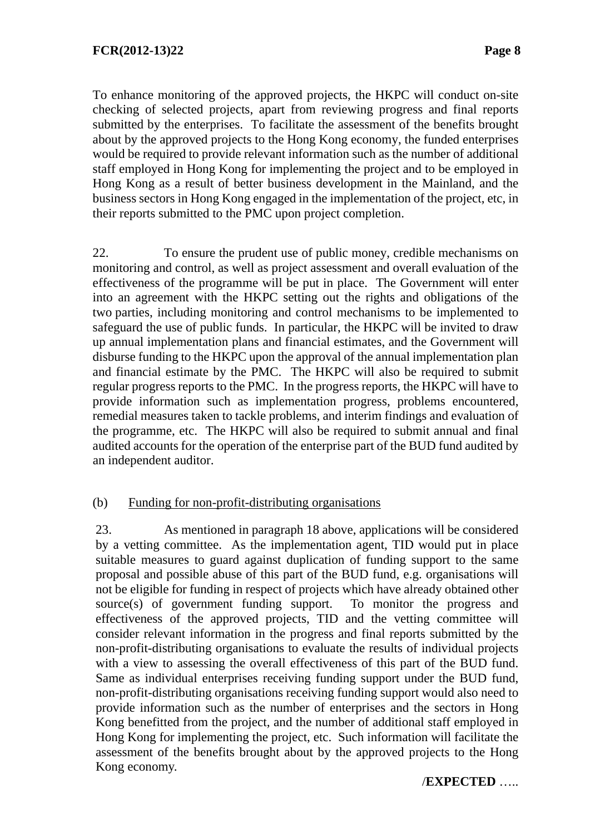To enhance monitoring of the approved projects, the HKPC will conduct on-site checking of selected projects, apart from reviewing progress and final reports submitted by the enterprises. To facilitate the assessment of the benefits brought about by the approved projects to the Hong Kong economy, the funded enterprises would be required to provide relevant information such as the number of additional staff employed in Hong Kong for implementing the project and to be employed in Hong Kong as a result of better business development in the Mainland, and the business sectors in Hong Kong engaged in the implementation of the project, etc, in their reports submitted to the PMC upon project completion.

22. To ensure the prudent use of public money, credible mechanisms on monitoring and control, as well as project assessment and overall evaluation of the effectiveness of the programme will be put in place. The Government will enter into an agreement with the HKPC setting out the rights and obligations of the two parties, including monitoring and control mechanisms to be implemented to safeguard the use of public funds. In particular, the HKPC will be invited to draw up annual implementation plans and financial estimates, and the Government will disburse funding to the HKPC upon the approval of the annual implementation plan and financial estimate by the PMC. The HKPC will also be required to submit regular progress reports to the PMC. In the progress reports, the HKPC will have to provide information such as implementation progress, problems encountered, remedial measures taken to tackle problems, and interim findings and evaluation of the programme, etc. The HKPC will also be required to submit annual and final audited accounts for the operation of the enterprise part of the BUD fund audited by an independent auditor.

#### (b) Funding for non-profit-distributing organisations

23. As mentioned in paragraph 18 above, applications will be considered by a vetting committee. As the implementation agent, TID would put in place suitable measures to guard against duplication of funding support to the same proposal and possible abuse of this part of the BUD fund, e.g. organisations will not be eligible for funding in respect of projects which have already obtained other source(s) of government funding support. To monitor the progress and effectiveness of the approved projects, TID and the vetting committee will consider relevant information in the progress and final reports submitted by the non-profit-distributing organisations to evaluate the results of individual projects with a view to assessing the overall effectiveness of this part of the BUD fund. Same as individual enterprises receiving funding support under the BUD fund, non-profit-distributing organisations receiving funding support would also need to provide information such as the number of enterprises and the sectors in Hong Kong benefitted from the project, and the number of additional staff employed in Hong Kong for implementing the project, etc. Such information will facilitate the assessment of the benefits brought about by the approved projects to the Hong Kong economy.

#### /**EXPECTED** …..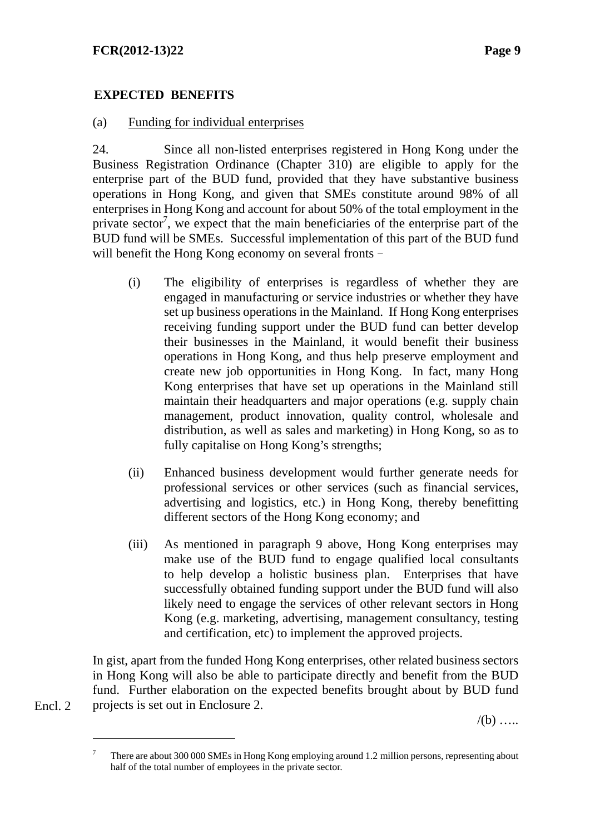# **EXPECTED BENEFITS**

#### (a) Funding for individual enterprises

24. Since all non-listed enterprises registered in Hong Kong under the Business Registration Ordinance (Chapter 310) are eligible to apply for the enterprise part of the BUD fund, provided that they have substantive business operations in Hong Kong, and given that SMEs constitute around 98% of all enterprises in Hong Kong and account for about 50% of the total employment in the private sector<sup>7</sup>, we expect that the main beneficiaries of the enterprise part of the BUD fund will be SMEs. Successful implementation of this part of the BUD fund will benefit the Hong Kong economy on several fronts -

- (i) The eligibility of enterprises is regardless of whether they are engaged in manufacturing or service industries or whether they have set up business operations in the Mainland. If Hong Kong enterprises receiving funding support under the BUD fund can better develop their businesses in the Mainland, it would benefit their business operations in Hong Kong, and thus help preserve employment and create new job opportunities in Hong Kong. In fact, many Hong Kong enterprises that have set up operations in the Mainland still maintain their headquarters and major operations (e.g. supply chain management, product innovation, quality control, wholesale and distribution, as well as sales and marketing) in Hong Kong, so as to fully capitalise on Hong Kong's strengths;
- (ii) Enhanced business development would further generate needs for professional services or other services (such as financial services, advertising and logistics, etc.) in Hong Kong, thereby benefitting different sectors of the Hong Kong economy; and
- (iii) As mentioned in paragraph 9 above, Hong Kong enterprises may make use of the BUD fund to engage qualified local consultants to help develop a holistic business plan. Enterprises that have successfully obtained funding support under the BUD fund will also likely need to engage the services of other relevant sectors in Hong Kong (e.g. marketing, advertising, management consultancy, testing and certification, etc) to implement the approved projects.

In gist, apart from the funded Hong Kong enterprises, other related business sectors in Hong Kong will also be able to participate directly and benefit from the BUD fund. Further elaboration on the expected benefits brought about by BUD fund projects is set out in Enclosure 2.

 $/(b)$  .....

Encl. 2

 $\overline{a}$ 

<sup>7</sup> There are about 300 000 SMEs in Hong Kong employing around 1.2 million persons, representing about half of the total number of employees in the private sector.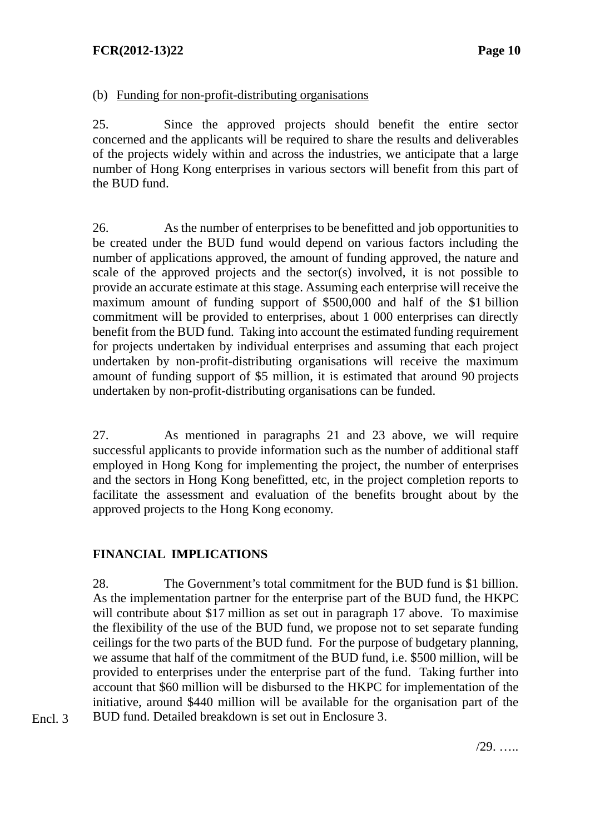#### **FCR(2012-13)22** Page 10

#### (b) Funding for non-profit-distributing organisations

25. Since the approved projects should benefit the entire sector concerned and the applicants will be required to share the results and deliverables of the projects widely within and across the industries, we anticipate that a large number of Hong Kong enterprises in various sectors will benefit from this part of the BUD fund.

26. As the number of enterprises to be benefitted and job opportunities to be created under the BUD fund would depend on various factors including the number of applications approved, the amount of funding approved, the nature and scale of the approved projects and the sector(s) involved, it is not possible to provide an accurate estimate at this stage. Assuming each enterprise will receive the maximum amount of funding support of \$500,000 and half of the \$1 billion commitment will be provided to enterprises, about 1 000 enterprises can directly benefit from the BUD fund. Taking into account the estimated funding requirement for projects undertaken by individual enterprises and assuming that each project undertaken by non-profit-distributing organisations will receive the maximum amount of funding support of \$5 million, it is estimated that around 90 projects undertaken by non-profit-distributing organisations can be funded.

27. As mentioned in paragraphs 21 and 23 above, we will require successful applicants to provide information such as the number of additional staff employed in Hong Kong for implementing the project, the number of enterprises and the sectors in Hong Kong benefitted, etc, in the project completion reports to facilitate the assessment and evaluation of the benefits brought about by the approved projects to the Hong Kong economy.

#### **FINANCIAL IMPLICATIONS**

Encl. 3

28. The Government's total commitment for the BUD fund is \$1 billion. As the implementation partner for the enterprise part of the BUD fund, the HKPC will contribute about \$17 million as set out in paragraph 17 above. To maximise the flexibility of the use of the BUD fund, we propose not to set separate funding ceilings for the two parts of the BUD fund.For the purpose of budgetary planning, we assume that half of the commitment of the BUD fund, i.e. \$500 million, will be provided to enterprises under the enterprise part of the fund. Taking further into account that \$60 million will be disbursed to the HKPC for implementation of the initiative, around \$440 million will be available for the organisation part of the BUD fund. Detailed breakdown is set out in Enclosure 3.

/29. …..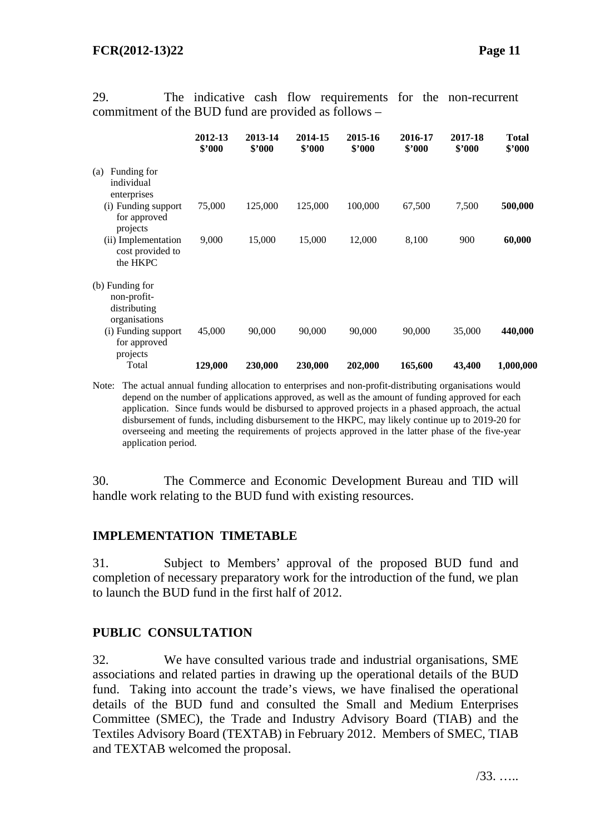| communicing of the $DCD$ rand are provided as follows           |                   |                   |                   |                   |                   |                   |                        |
|-----------------------------------------------------------------|-------------------|-------------------|-------------------|-------------------|-------------------|-------------------|------------------------|
|                                                                 | 2012-13<br>\$2000 | 2013-14<br>\$'000 | 2014-15<br>\$'000 | 2015-16<br>\$'000 | 2016-17<br>\$'000 | 2017-18<br>\$2000 | <b>Total</b><br>\$2000 |
| Funding for<br>(a)<br>individual<br>enterprises                 |                   |                   |                   |                   |                   |                   |                        |
| (i) Funding support<br>for approved<br>projects                 | 75,000            | 125,000           | 125,000           | 100,000           | 67,500            | 7,500             | 500,000                |
| (ii) Implementation<br>cost provided to<br>the HKPC             | 9,000             | 15,000            | 15,000            | 12,000            | 8,100             | 900               | 60,000                 |
| (b) Funding for<br>non-profit-<br>distributing<br>organisations |                   |                   |                   |                   |                   |                   |                        |
| (i) Funding support<br>for approved<br>projects                 | 45,000            | 90,000            | 90,000            | 90,000            | 90,000            | 35,000            | 440,000                |
| Total                                                           | 129,000           | 230,000           | 230,000           | 202,000           | 165,600           | 43,400            | 1,000,000              |

29. The indicative cash flow requirements for the non-recurrent commitment of the BUD fund are provided as follows –

Note: The actual annual funding allocation to enterprises and non-profit-distributing organisations would depend on the number of applications approved, as well as the amount of funding approved for each application. Since funds would be disbursed to approved projects in a phased approach, the actual disbursement of funds, including disbursement to the HKPC, may likely continue up to 2019-20 for overseeing and meeting the requirements of projects approved in the latter phase of the five-year application period.

30. The Commerce and Economic Development Bureau and TID will handle work relating to the BUD fund with existing resources.

#### **IMPLEMENTATION TIMETABLE**

31. Subject to Members' approval of the proposed BUD fund and completion of necessary preparatory work for the introduction of the fund, we plan to launch the BUD fund in the first half of 2012.

#### **PUBLIC CONSULTATION**

32. We have consulted various trade and industrial organisations, SME associations and related parties in drawing up the operational details of the BUD fund. Taking into account the trade's views, we have finalised the operational details of the BUD fund and consulted the Small and Medium Enterprises Committee (SMEC), the Trade and Industry Advisory Board (TIAB) and the Textiles Advisory Board (TEXTAB) in February 2012. Members of SMEC, TIAB and TEXTAB welcomed the proposal.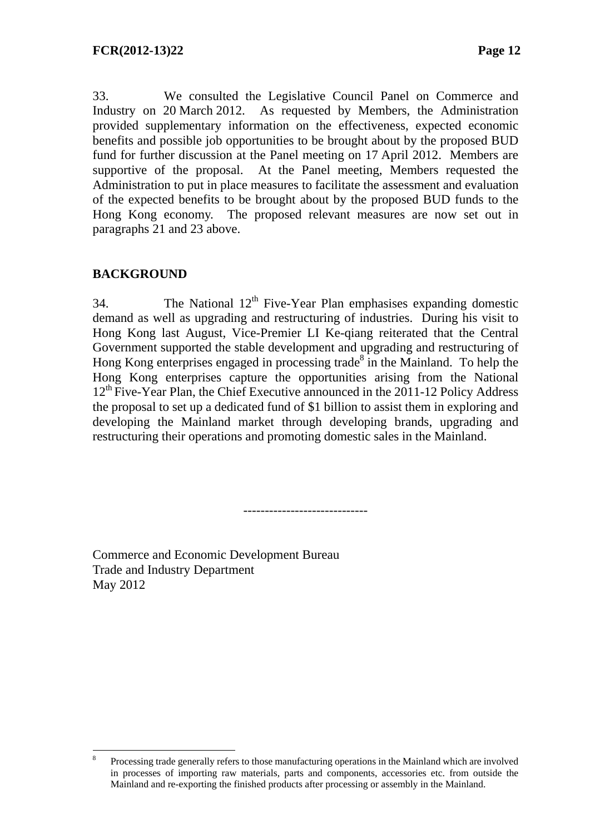33. We consulted the Legislative Council Panel on Commerce and Industry on 20 March 2012. As requested by Members, the Administration provided supplementary information on the effectiveness, expected economic benefits and possible job opportunities to be brought about by the proposed BUD fund for further discussion at the Panel meeting on 17 April 2012. Members are supportive of the proposal. At the Panel meeting, Members requested the Administration to put in place measures to facilitate the assessment and evaluation of the expected benefits to be brought about by the proposed BUD funds to the Hong Kong economy. The proposed relevant measures are now set out in paragraphs 21 and 23 above.

# **BACKGROUND**

34. The National  $12<sup>th</sup>$  Five-Year Plan emphasises expanding domestic demand as well as upgrading and restructuring of industries. During his visit to Hong Kong last August, Vice-Premier LI Ke-qiang reiterated that the Central Government supported the stable development and upgrading and restructuring of Hong Kong enterprises engaged in processing trade<sup>8</sup> in the Mainland. To help the Hong Kong enterprises capture the opportunities arising from the National  $12<sup>th</sup>$  Five-Year Plan, the Chief Executive announced in the 2011-12 Policy Address the proposal to set up a dedicated fund of \$1 billion to assist them in exploring and developing the Mainland market through developing brands, upgrading and restructuring their operations and promoting domestic sales in the Mainland.

-----------------------------

Commerce and Economic Development Bureau Trade and Industry Department May 2012

 $\overline{a}$ 8 Processing trade generally refers to those manufacturing operations in the Mainland which are involved in processes of importing raw materials, parts and components, accessories etc. from outside the Mainland and re-exporting the finished products after processing or assembly in the Mainland.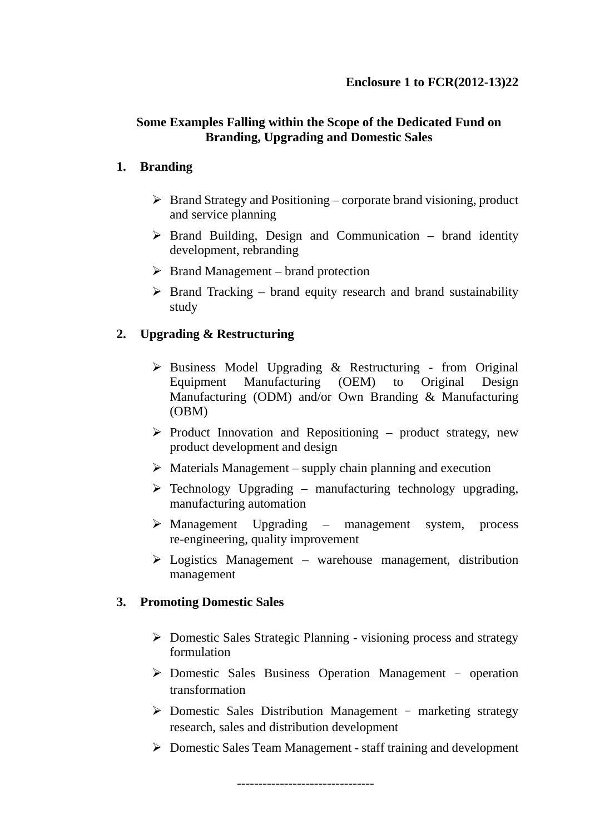# **Some Examples Falling within the Scope of the Dedicated Fund on Branding, Upgrading and Domestic Sales**

### **1. Branding**

- $\triangleright$  Brand Strategy and Positioning corporate brand visioning, product and service planning
- $\triangleright$  Brand Building, Design and Communication brand identity development, rebranding
- $\triangleright$  Brand Management brand protection
- $\triangleright$  Brand Tracking brand equity research and brand sustainability study

# **2. Upgrading & Restructuring**

- $\triangleright$  Business Model Upgrading & Restructuring from Original Equipment Manufacturing (OEM) to Original Design Manufacturing (ODM) and/or Own Branding & Manufacturing (OBM)
- $\triangleright$  Product Innovation and Repositioning product strategy, new product development and design
- $\triangleright$  Materials Management supply chain planning and execution
- $\triangleright$  Technology Upgrading manufacturing technology upgrading, manufacturing automation
- Management Upgrading management system, process re-engineering, quality improvement
- $\triangleright$  Logistics Management warehouse management, distribution management

# **3. Promoting Domestic Sales**

- Domestic Sales Strategic Planning visioning process and strategy formulation
- $\triangleright$  Domestic Sales Business Operation Management operation transformation
- $\triangleright$  Domestic Sales Distribution Management marketing strategy research, sales and distribution development
- Domestic Sales Team Management staff training and development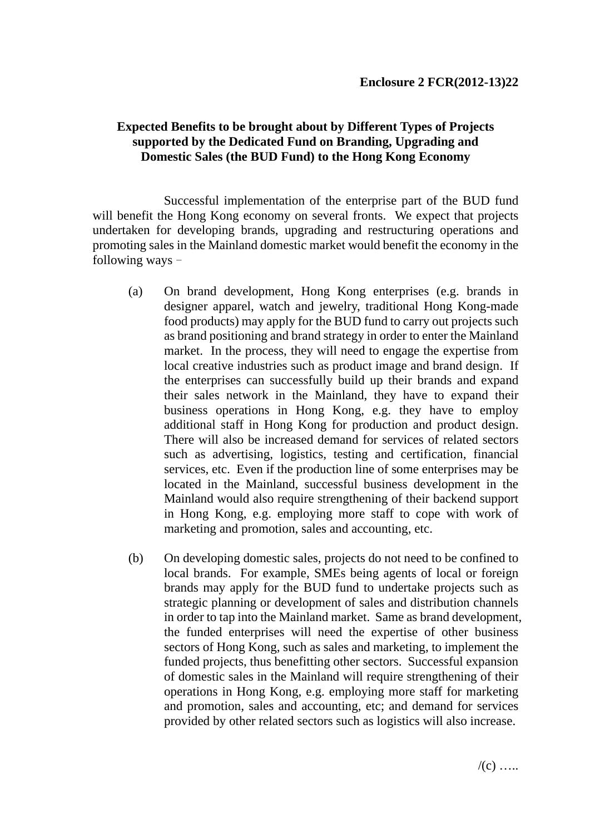#### **Expected Benefits to be brought about by Different Types of Projects supported by the Dedicated Fund on Branding, Upgrading and Domestic Sales (the BUD Fund) to the Hong Kong Economy**

Successful implementation of the enterprise part of the BUD fund will benefit the Hong Kong economy on several fronts. We expect that projects undertaken for developing brands, upgrading and restructuring operations and promoting sales in the Mainland domestic market would benefit the economy in the following ways -

- (a) On brand development, Hong Kong enterprises (e.g. brands in designer apparel, watch and jewelry, traditional Hong Kong-made food products) may apply for the BUD fund to carry out projects such as brand positioning and brand strategy in order to enter the Mainland market. In the process, they will need to engage the expertise from local creative industries such as product image and brand design. If the enterprises can successfully build up their brands and expand their sales network in the Mainland, they have to expand their business operations in Hong Kong, e.g. they have to employ additional staff in Hong Kong for production and product design. There will also be increased demand for services of related sectors such as advertising, logistics, testing and certification, financial services, etc. Even if the production line of some enterprises may be located in the Mainland, successful business development in the Mainland would also require strengthening of their backend support in Hong Kong, e.g. employing more staff to cope with work of marketing and promotion, sales and accounting, etc.
- (b) On developing domestic sales, projects do not need to be confined to local brands. For example, SMEs being agents of local or foreign brands may apply for the BUD fund to undertake projects such as strategic planning or development of sales and distribution channels in order to tap into the Mainland market. Same as brand development, the funded enterprises will need the expertise of other business sectors of Hong Kong, such as sales and marketing, to implement the funded projects, thus benefitting other sectors. Successful expansion of domestic sales in the Mainland will require strengthening of their operations in Hong Kong, e.g. employing more staff for marketing and promotion, sales and accounting, etc; and demand for services provided by other related sectors such as logistics will also increase.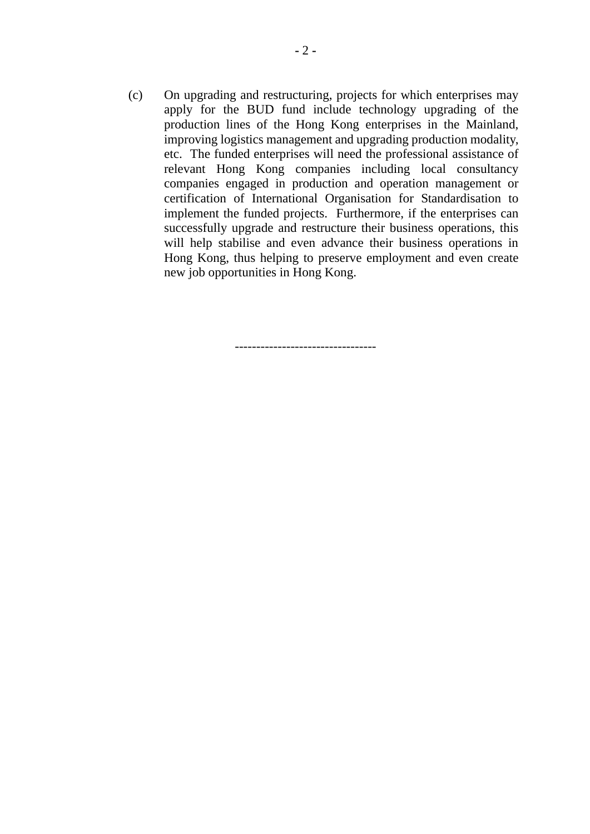(c) On upgrading and restructuring, projects for which enterprises may apply for the BUD fund include technology upgrading of the production lines of the Hong Kong enterprises in the Mainland, improving logistics management and upgrading production modality, etc. The funded enterprises will need the professional assistance of relevant Hong Kong companies including local consultancy companies engaged in production and operation management or certification of International Organisation for Standardisation to implement the funded projects. Furthermore, if the enterprises can successfully upgrade and restructure their business operations, this will help stabilise and even advance their business operations in Hong Kong, thus helping to preserve employment and even create new job opportunities in Hong Kong.

---------------------------------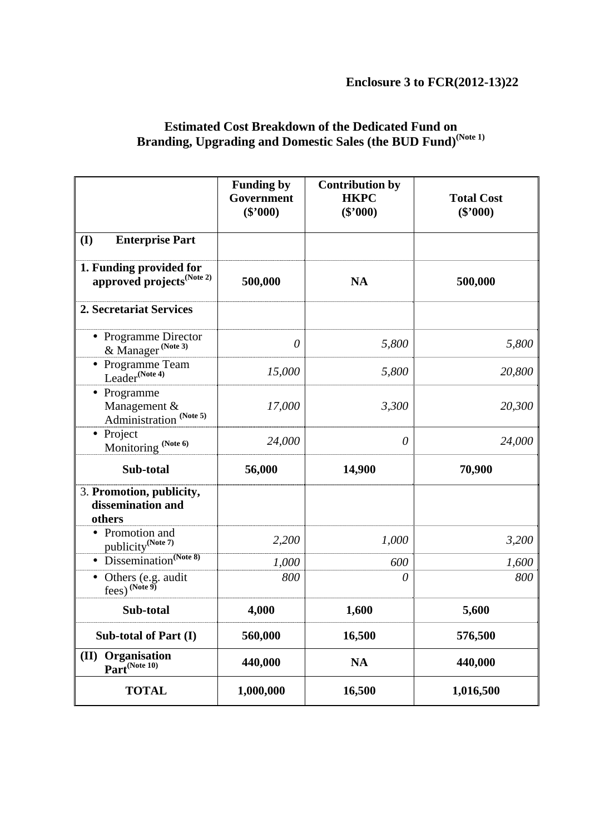**Enclosure 3 to FCR(2012-13)22** 

|                                                                  | <b>Funding by</b><br>Government<br>$(\$'000)$ | <b>Contribution by</b><br><b>HKPC</b><br>(\$'000) | <b>Total Cost</b><br>$(\$'000)$ |  |
|------------------------------------------------------------------|-----------------------------------------------|---------------------------------------------------|---------------------------------|--|
| <b>Enterprise Part</b><br>(I)                                    |                                               |                                                   |                                 |  |
| 1. Funding provided for<br>approved projects <sup>(Note 2)</sup> | 500,000                                       | <b>NA</b>                                         | 500,000                         |  |
| 2. Secretariat Services                                          |                                               |                                                   |                                 |  |
| • Programme Director<br>& Manager <sup>(Note 3)</sup>            | $\theta$                                      | 5,800                                             | 5,800                           |  |
| Programme Team<br>Leader <sup>(Note 4)</sup>                     | 15,000                                        | 5,800                                             | 20,800                          |  |
| • Programme<br>Management &<br>Administration (Note 5)           | 17,000                                        | 3,300                                             | 20,300                          |  |
| • Project<br>Monitoring (Note 6)                                 | 24,000                                        | $\theta$                                          | 24,000                          |  |
| Sub-total                                                        | 56,000                                        | 14,900                                            | 70,900                          |  |
| 3. Promotion, publicity,<br>dissemination and<br>others          |                                               |                                                   |                                 |  |
| • Promotion and<br>publicity <sup>(Note 7)</sup>                 | 2,200                                         | 1,000                                             | 3,200                           |  |
| Dissemination <sup>(Note 8)</sup>                                | 1,000                                         | 600                                               | 1,600                           |  |
| Others (e.g. audit<br>fees) (Note 9)                             | 800                                           | $\theta$                                          | 800                             |  |
| Sub-total                                                        | 4,000                                         | 1,600                                             | 5,600                           |  |
| Sub-total of Part (I)                                            | 560,000                                       | 16,500                                            | 576,500                         |  |
| <b>Organisation</b><br>(II)<br>Part <sup>(Note 10)</sup>         | 440,000                                       | <b>NA</b>                                         | 440,000                         |  |
| <b>TOTAL</b>                                                     | 1,000,000                                     | 16,500                                            | 1,016,500                       |  |

#### **Estimated Cost Breakdown of the Dedicated Fund on Branding, Upgrading and Domestic Sales (the BUD Fund)(Note 1)**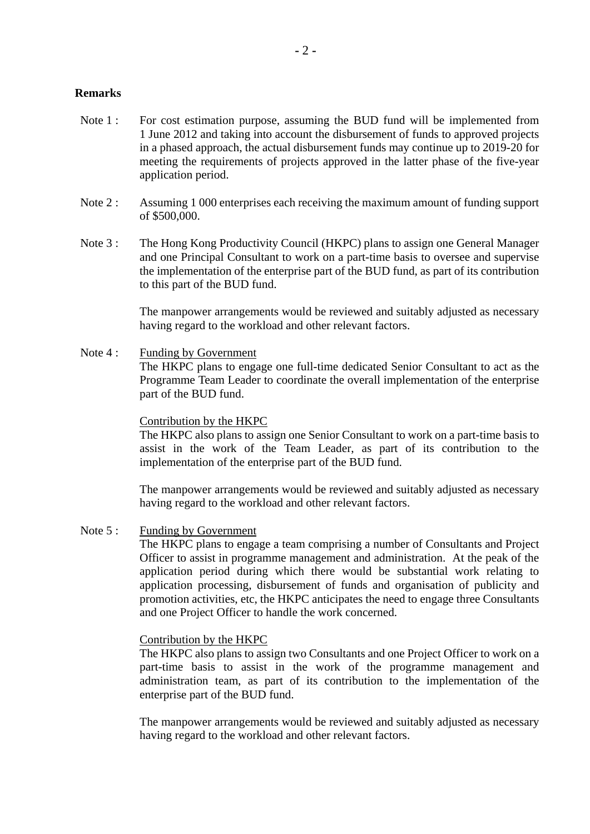#### **Remarks**

- Note 1 : For cost estimation purpose, assuming the BUD fund will be implemented from 1 June 2012 and taking into account the disbursement of funds to approved projects in a phased approach, the actual disbursement funds may continue up to 2019-20 for meeting the requirements of projects approved in the latter phase of the five-year application period.
- Note 2: Assuming 1 000 enterprises each receiving the maximum amount of funding support of \$500,000.
- Note 3: The Hong Kong Productivity Council (HKPC) plans to assign one General Manager and one Principal Consultant to work on a part-time basis to oversee and supervise the implementation of the enterprise part of the BUD fund, as part of its contribution to this part of the BUD fund.

The manpower arrangements would be reviewed and suitably adjusted as necessary having regard to the workload and other relevant factors.

Note 4 : Funding by Government

The HKPC plans to engage one full-time dedicated Senior Consultant to act as the Programme Team Leader to coordinate the overall implementation of the enterprise part of the BUD fund.

#### Contribution by the HKPC

The HKPC also plans to assign one Senior Consultant to work on a part-time basis to assist in the work of the Team Leader, as part of its contribution to the implementation of the enterprise part of the BUD fund.

The manpower arrangements would be reviewed and suitably adjusted as necessary having regard to the workload and other relevant factors.

Note 5 : Funding by Government

The HKPC plans to engage a team comprising a number of Consultants and Project Officer to assist in programme management and administration. At the peak of the application period during which there would be substantial work relating to application processing, disbursement of funds and organisation of publicity and promotion activities, etc, the HKPC anticipates the need to engage three Consultants and one Project Officer to handle the work concerned.

#### Contribution by the HKPC

The HKPC also plans to assign two Consultants and one Project Officer to work on a part-time basis to assist in the work of the programme management and administration team, as part of its contribution to the implementation of the enterprise part of the BUD fund.

The manpower arrangements would be reviewed and suitably adjusted as necessary having regard to the workload and other relevant factors.